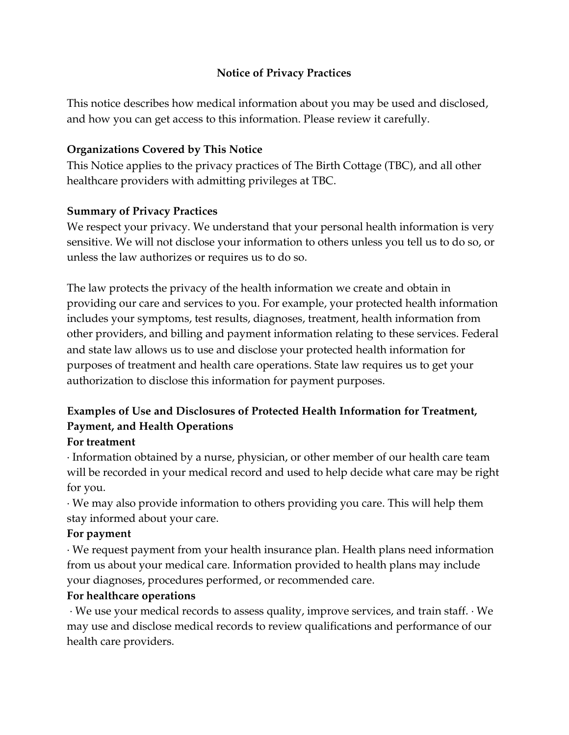## **Notice of Privacy Practices**

This notice describes how medical information about you may be used and disclosed, and how you can get access to this information. Please review it carefully.

## **Organizations Covered by This Notice**

This Notice applies to the privacy practices of The Birth Cottage (TBC), and all other healthcare providers with admitting privileges at TBC.

## **Summary of Privacy Practices**

We respect your privacy. We understand that your personal health information is very sensitive. We will not disclose your information to others unless you tell us to do so, or unless the law authorizes or requires us to do so.

The law protects the privacy of the health information we create and obtain in providing our care and services to you. For example, your protected health information includes your symptoms, test results, diagnoses, treatment, health information from other providers, and billing and payment information relating to these services. Federal and state law allows us to use and disclose your protected health information for purposes of treatment and health care operations. State law requires us to get your authorization to disclose this information for payment purposes.

# **Examples of Use and Disclosures of Protected Health Information for Treatment, Payment, and Health Operations**

## **For treatment**

· Information obtained by a nurse, physician, or other member of our health care team will be recorded in your medical record and used to help decide what care may be right for you.

· We may also provide information to others providing you care. This will help them stay informed about your care.

## **For payment**

· We request payment from your health insurance plan. Health plans need information from us about your medical care. Information provided to health plans may include your diagnoses, procedures performed, or recommended care.

## **For healthcare operations**

· We use your medical records to assess quality, improve services, and train staff. · We may use and disclose medical records to review qualifications and performance of our health care providers.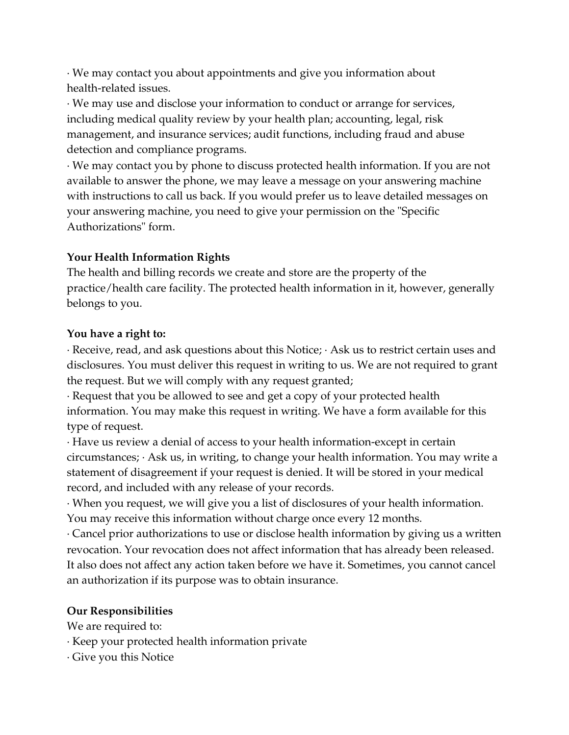· We may contact you about appointments and give you information about health-related issues.

· We may use and disclose your information to conduct or arrange for services, including medical quality review by your health plan; accounting, legal, risk management, and insurance services; audit functions, including fraud and abuse detection and compliance programs.

· We may contact you by phone to discuss protected health information. If you are not available to answer the phone, we may leave a message on your answering machine with instructions to call us back. If you would prefer us to leave detailed messages on your answering machine, you need to give your permission on the "Specific Authorizations" form.

## **Your Health Information Rights**

The health and billing records we create and store are the property of the practice/health care facility. The protected health information in it, however, generally belongs to you.

## **You have a right to:**

· Receive, read, and ask questions about this Notice; · Ask us to restrict certain uses and disclosures. You must deliver this request in writing to us. We are not required to grant the request. But we will comply with any request granted;

· Request that you be allowed to see and get a copy of your protected health information. You may make this request in writing. We have a form available for this type of request.

· Have us review a denial of access to your health information-except in certain circumstances; · Ask us, in writing, to change your health information. You may write a statement of disagreement if your request is denied. It will be stored in your medical record, and included with any release of your records.

· When you request, we will give you a list of disclosures of your health information. You may receive this information without charge once every 12 months.

· Cancel prior authorizations to use or disclose health information by giving us a written revocation. Your revocation does not affect information that has already been released. It also does not affect any action taken before we have it. Sometimes, you cannot cancel an authorization if its purpose was to obtain insurance.

## **Our Responsibilities**

We are required to:

· Keep your protected health information private

· Give you this Notice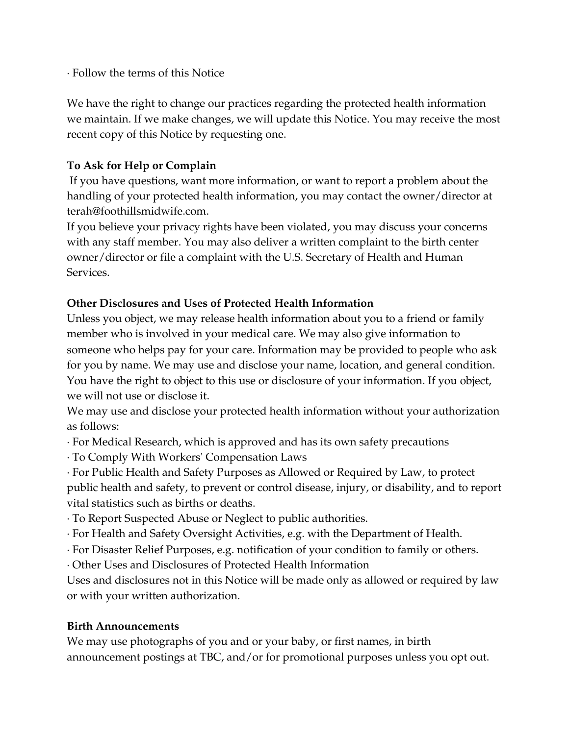· Follow the terms of this Notice

We have the right to change our practices regarding the protected health information we maintain. If we make changes, we will update this Notice. You may receive the most recent copy of this Notice by requesting one.

# **To Ask for Help or Complain**

If you have questions, want more information, or want to report a problem about the handling of your protected health information, you may contact the owner/director at terah@foothillsmidwife.com.

If you believe your privacy rights have been violated, you may discuss your concerns with any staff member. You may also deliver a written complaint to the birth center owner/director or file a complaint with the U.S. Secretary of Health and Human Services.

# **Other Disclosures and Uses of Protected Health Information**

Unless you object, we may release health information about you to a friend or family member who is involved in your medical care. We may also give information to someone who helps pay for your care. Information may be provided to people who ask for you by name. We may use and disclose your name, location, and general condition. You have the right to object to this use or disclosure of your information. If you object, we will not use or disclose it.

We may use and disclose your protected health information without your authorization as follows:

· For Medical Research, which is approved and has its own safety precautions

· To Comply With Workers' Compensation Laws

· For Public Health and Safety Purposes as Allowed or Required by Law, to protect public health and safety, to prevent or control disease, injury, or disability, and to report vital statistics such as births or deaths.

· To Report Suspected Abuse or Neglect to public authorities.

- · For Health and Safety Oversight Activities, e.g. with the Department of Health.
- · For Disaster Relief Purposes, e.g. notification of your condition to family or others.
- · Other Uses and Disclosures of Protected Health Information

Uses and disclosures not in this Notice will be made only as allowed or required by law or with your written authorization.

# **Birth Announcements**

We may use photographs of you and or your baby, or first names, in birth announcement postings at TBC, and/or for promotional purposes unless you opt out.